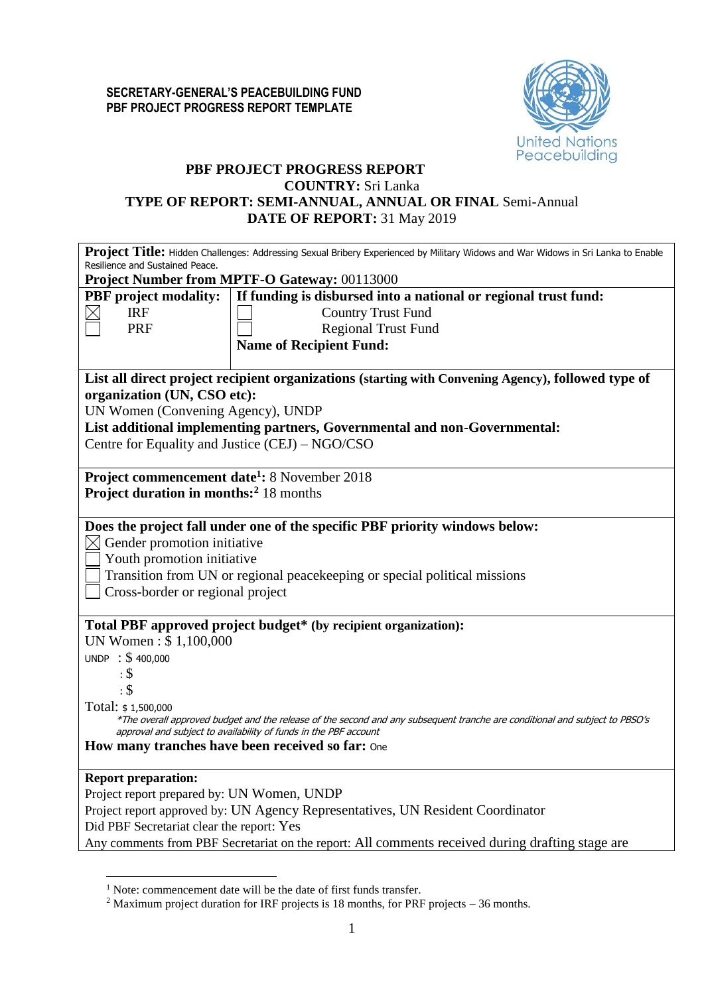

# **PBF PROJECT PROGRESS REPORT COUNTRY:** Sri Lanka **TYPE OF REPORT: SEMI-ANNUAL, ANNUAL OR FINAL** Semi-Annual **DATE OF REPORT:** 31 May 2019

| Project Title: Hidden Challenges: Addressing Sexual Bribery Experienced by Military Widows and War Widows in Sri Lanka to Enable |                                                                                                                                                                                                 |  |  |  |  |  |  |  |
|----------------------------------------------------------------------------------------------------------------------------------|-------------------------------------------------------------------------------------------------------------------------------------------------------------------------------------------------|--|--|--|--|--|--|--|
| Resilience and Sustained Peace.<br>Project Number from MPTF-O Gateway: 00113000                                                  |                                                                                                                                                                                                 |  |  |  |  |  |  |  |
|                                                                                                                                  |                                                                                                                                                                                                 |  |  |  |  |  |  |  |
| <b>PBF</b> project modality:                                                                                                     | If funding is disbursed into a national or regional trust fund:                                                                                                                                 |  |  |  |  |  |  |  |
| <b>IRF</b>                                                                                                                       | <b>Country Trust Fund</b>                                                                                                                                                                       |  |  |  |  |  |  |  |
| PRF                                                                                                                              | <b>Regional Trust Fund</b>                                                                                                                                                                      |  |  |  |  |  |  |  |
|                                                                                                                                  | <b>Name of Recipient Fund:</b>                                                                                                                                                                  |  |  |  |  |  |  |  |
| organization (UN, CSO etc):                                                                                                      | List all direct project recipient organizations (starting with Convening Agency), followed type of                                                                                              |  |  |  |  |  |  |  |
|                                                                                                                                  |                                                                                                                                                                                                 |  |  |  |  |  |  |  |
| UN Women (Convening Agency), UNDP                                                                                                |                                                                                                                                                                                                 |  |  |  |  |  |  |  |
|                                                                                                                                  | List additional implementing partners, Governmental and non-Governmental:                                                                                                                       |  |  |  |  |  |  |  |
| Centre for Equality and Justice (CEJ) – NGO/CSO                                                                                  |                                                                                                                                                                                                 |  |  |  |  |  |  |  |
| Project commencement date <sup>1</sup> : 8 November 2018                                                                         |                                                                                                                                                                                                 |  |  |  |  |  |  |  |
| <b>Project duration in months:</b> <sup>2</sup> 18 months                                                                        |                                                                                                                                                                                                 |  |  |  |  |  |  |  |
|                                                                                                                                  |                                                                                                                                                                                                 |  |  |  |  |  |  |  |
|                                                                                                                                  | Does the project fall under one of the specific PBF priority windows below:                                                                                                                     |  |  |  |  |  |  |  |
| $\boxtimes$ Gender promotion initiative                                                                                          |                                                                                                                                                                                                 |  |  |  |  |  |  |  |
| Youth promotion initiative                                                                                                       |                                                                                                                                                                                                 |  |  |  |  |  |  |  |
|                                                                                                                                  | Transition from UN or regional peacekeeping or special political missions                                                                                                                       |  |  |  |  |  |  |  |
| Cross-border or regional project                                                                                                 |                                                                                                                                                                                                 |  |  |  |  |  |  |  |
|                                                                                                                                  |                                                                                                                                                                                                 |  |  |  |  |  |  |  |
|                                                                                                                                  | Total PBF approved project budget* (by recipient organization):                                                                                                                                 |  |  |  |  |  |  |  |
| UN Women: \$1,100,000                                                                                                            |                                                                                                                                                                                                 |  |  |  |  |  |  |  |
| UNDP : \$400,000                                                                                                                 |                                                                                                                                                                                                 |  |  |  |  |  |  |  |
| $\cdot$ \$                                                                                                                       |                                                                                                                                                                                                 |  |  |  |  |  |  |  |
| $\cdot$ \$                                                                                                                       |                                                                                                                                                                                                 |  |  |  |  |  |  |  |
| Total: \$1,500,000                                                                                                               |                                                                                                                                                                                                 |  |  |  |  |  |  |  |
|                                                                                                                                  | *The overall approved budget and the release of the second and any subsequent tranche are conditional and subject to PBSO's<br>approval and subject to availability of funds in the PBF account |  |  |  |  |  |  |  |
|                                                                                                                                  | How many tranches have been received so far: One                                                                                                                                                |  |  |  |  |  |  |  |
|                                                                                                                                  |                                                                                                                                                                                                 |  |  |  |  |  |  |  |
| <b>Report preparation:</b>                                                                                                       |                                                                                                                                                                                                 |  |  |  |  |  |  |  |
| Project report prepared by: UN Women, UNDP                                                                                       |                                                                                                                                                                                                 |  |  |  |  |  |  |  |
|                                                                                                                                  | Project report approved by: UN Agency Representatives, UN Resident Coordinator                                                                                                                  |  |  |  |  |  |  |  |
| Did PBF Secretariat clear the report: Yes                                                                                        |                                                                                                                                                                                                 |  |  |  |  |  |  |  |
|                                                                                                                                  | Any comments from PBF Secretariat on the report: All comments received during drafting stage are                                                                                                |  |  |  |  |  |  |  |

<u>.</u>

<sup>&</sup>lt;sup>1</sup> Note: commencement date will be the date of first funds transfer.

<sup>&</sup>lt;sup>2</sup> Maximum project duration for IRF projects is 18 months, for PRF projects – 36 months.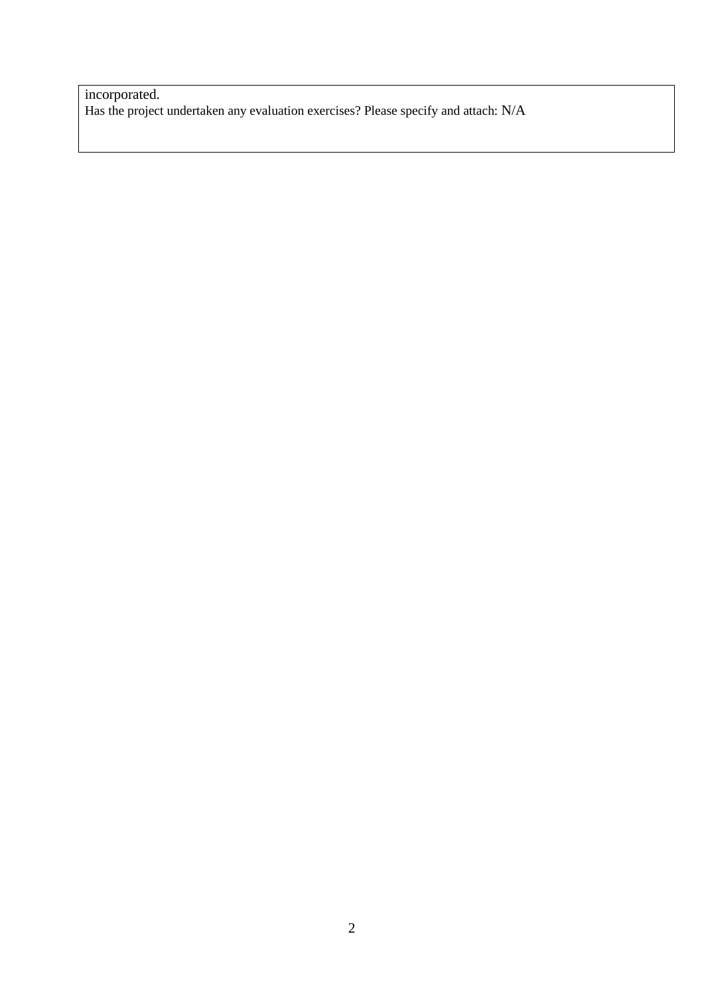incorporated. Has the project undertaken any evaluation exercises? Please specify and attach: N/A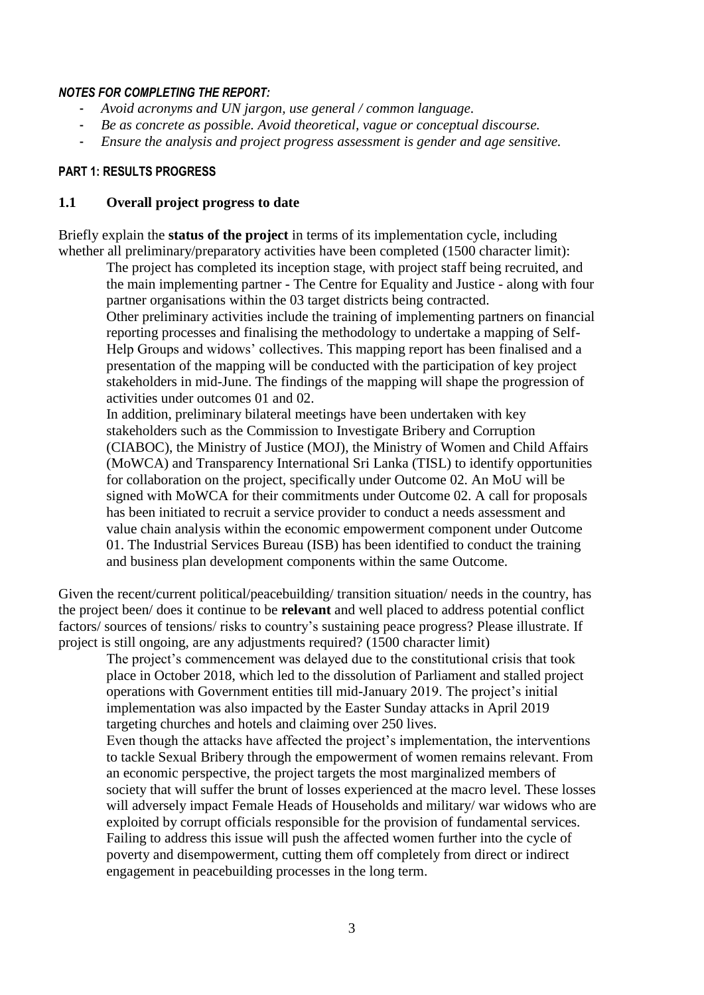### *NOTES FOR COMPLETING THE REPORT:*

- *Avoid acronyms and UN jargon, use general / common language.*
- *Be as concrete as possible. Avoid theoretical, vague or conceptual discourse.*
- *Ensure the analysis and project progress assessment is gender and age sensitive.*

# **PART 1: RESULTS PROGRESS**

## **1.1 Overall project progress to date**

Briefly explain the **status of the project** in terms of its implementation cycle, including whether all preliminary/preparatory activities have been completed (1500 character limit):

The project has completed its inception stage, with project staff being recruited, and the main implementing partner - The Centre for Equality and Justice - along with four partner organisations within the 03 target districts being contracted.

Other preliminary activities include the training of implementing partners on financial reporting processes and finalising the methodology to undertake a mapping of Self-Help Groups and widows' collectives. This mapping report has been finalised and a presentation of the mapping will be conducted with the participation of key project stakeholders in mid-June. The findings of the mapping will shape the progression of activities under outcomes 01 and 02.

In addition, preliminary bilateral meetings have been undertaken with key stakeholders such as the Commission to Investigate Bribery and Corruption (CIABOC), the Ministry of Justice (MOJ), the Ministry of Women and Child Affairs (MoWCA) and Transparency International Sri Lanka (TISL) to identify opportunities for collaboration on the project, specifically under Outcome 02. An MoU will be signed with MoWCA for their commitments under Outcome 02. A call for proposals has been initiated to recruit a service provider to conduct a needs assessment and value chain analysis within the economic empowerment component under Outcome 01. The Industrial Services Bureau (ISB) has been identified to conduct the training and business plan development components within the same Outcome.

Given the recent/current political/peacebuilding/ transition situation/ needs in the country, has the project been/ does it continue to be **relevant** and well placed to address potential conflict factors/ sources of tensions/ risks to country's sustaining peace progress? Please illustrate. If project is still ongoing, are any adjustments required? (1500 character limit)

The project's commencement was delayed due to the constitutional crisis that took place in October 2018, which led to the dissolution of Parliament and stalled project operations with Government entities till mid-January 2019. The project's initial implementation was also impacted by the Easter Sunday attacks in April 2019 targeting churches and hotels and claiming over 250 lives.

Even though the attacks have affected the project's implementation, the interventions to tackle Sexual Bribery through the empowerment of women remains relevant. From an economic perspective, the project targets the most marginalized members of society that will suffer the brunt of losses experienced at the macro level. These losses will adversely impact Female Heads of Households and military/ war widows who are exploited by corrupt officials responsible for the provision of fundamental services. Failing to address this issue will push the affected women further into the cycle of poverty and disempowerment, cutting them off completely from direct or indirect engagement in peacebuilding processes in the long term.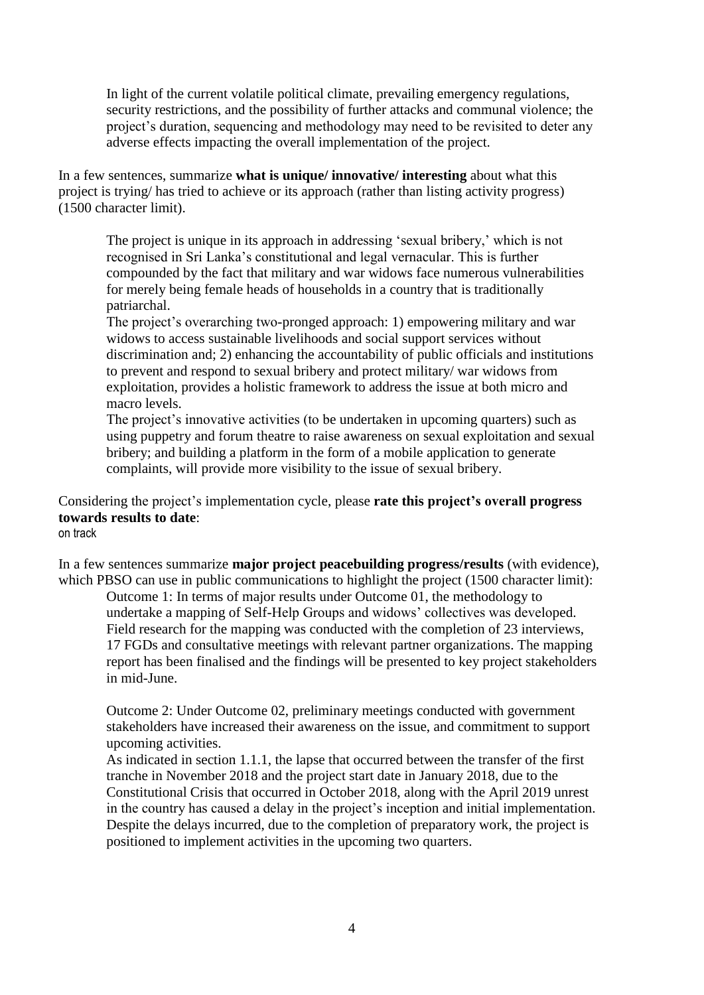In light of the current volatile political climate, prevailing emergency regulations, security restrictions, and the possibility of further attacks and communal violence; the project's duration, sequencing and methodology may need to be revisited to deter any adverse effects impacting the overall implementation of the project.

In a few sentences, summarize **what is unique/ innovative/ interesting** about what this project is trying/ has tried to achieve or its approach (rather than listing activity progress) (1500 character limit).

The project is unique in its approach in addressing 'sexual bribery,' which is not recognised in Sri Lanka's constitutional and legal vernacular. This is further compounded by the fact that military and war widows face numerous vulnerabilities for merely being female heads of households in a country that is traditionally patriarchal.

The project's overarching two-pronged approach: 1) empowering military and war widows to access sustainable livelihoods and social support services without discrimination and; 2) enhancing the accountability of public officials and institutions to prevent and respond to sexual bribery and protect military/ war widows from exploitation, provides a holistic framework to address the issue at both micro and macro levels.

The project's innovative activities (to be undertaken in upcoming quarters) such as using puppetry and forum theatre to raise awareness on sexual exploitation and sexual bribery; and building a platform in the form of a mobile application to generate complaints, will provide more visibility to the issue of sexual bribery.

Considering the project's implementation cycle, please **rate this project's overall progress towards results to date**: on track

In a few sentences summarize **major project peacebuilding progress/results** (with evidence), which PBSO can use in public communications to highlight the project (1500 character limit):

Outcome 1: In terms of major results under Outcome 01, the methodology to undertake a mapping of Self-Help Groups and widows' collectives was developed. Field research for the mapping was conducted with the completion of 23 interviews. 17 FGDs and consultative meetings with relevant partner organizations. The mapping report has been finalised and the findings will be presented to key project stakeholders in mid-June.

Outcome 2: Under Outcome 02, preliminary meetings conducted with government stakeholders have increased their awareness on the issue, and commitment to support upcoming activities.

As indicated in section 1.1.1, the lapse that occurred between the transfer of the first tranche in November 2018 and the project start date in January 2018, due to the Constitutional Crisis that occurred in October 2018, along with the April 2019 unrest in the country has caused a delay in the project's inception and initial implementation. Despite the delays incurred, due to the completion of preparatory work, the project is positioned to implement activities in the upcoming two quarters.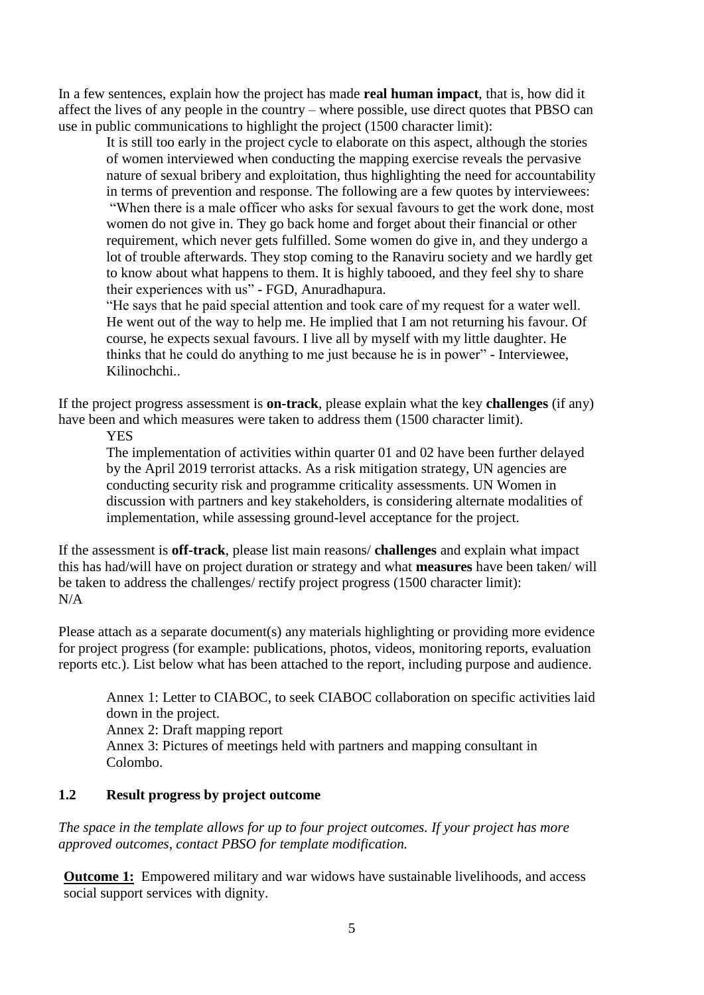In a few sentences, explain how the project has made **real human impact**, that is, how did it affect the lives of any people in the country – where possible, use direct quotes that PBSO can use in public communications to highlight the project (1500 character limit):

It is still too early in the project cycle to elaborate on this aspect, although the stories of women interviewed when conducting the mapping exercise reveals the pervasive nature of sexual bribery and exploitation, thus highlighting the need for accountability in terms of prevention and response. The following are a few quotes by interviewees: "When there is a male officer who asks for sexual favours to get the work done, most women do not give in. They go back home and forget about their financial or other requirement, which never gets fulfilled. Some women do give in, and they undergo a lot of trouble afterwards. They stop coming to the Ranaviru society and we hardly get to know about what happens to them. It is highly tabooed, and they feel shy to share their experiences with us" - FGD, Anuradhapura.

"He says that he paid special attention and took care of my request for a water well. He went out of the way to help me. He implied that I am not returning his favour. Of course, he expects sexual favours. I live all by myself with my little daughter. He thinks that he could do anything to me just because he is in power" - Interviewee, Kilinochchi..

If the project progress assessment is **on-track**, please explain what the key **challenges** (if any) have been and which measures were taken to address them (1500 character limit).

**YES** 

The implementation of activities within quarter 01 and 02 have been further delayed by the April 2019 terrorist attacks. As a risk mitigation strategy, UN agencies are conducting security risk and programme criticality assessments. UN Women in discussion with partners and key stakeholders, is considering alternate modalities of implementation, while assessing ground-level acceptance for the project.

If the assessment is **off-track**, please list main reasons/ **challenges** and explain what impact this has had/will have on project duration or strategy and what **measures** have been taken/ will be taken to address the challenges/ rectify project progress (1500 character limit): N/A

Please attach as a separate document(s) any materials highlighting or providing more evidence for project progress (for example: publications, photos, videos, monitoring reports, evaluation reports etc.). List below what has been attached to the report, including purpose and audience.

Annex 1: Letter to CIABOC, to seek CIABOC collaboration on specific activities laid down in the project. Annex 2: Draft mapping report Annex 3: Pictures of meetings held with partners and mapping consultant in Colombo.

# **1.2 Result progress by project outcome**

*The space in the template allows for up to four project outcomes. If your project has more approved outcomes, contact PBSO for template modification.*

**Outcome 1:** Empowered military and war widows have sustainable livelihoods, and access social support services with dignity.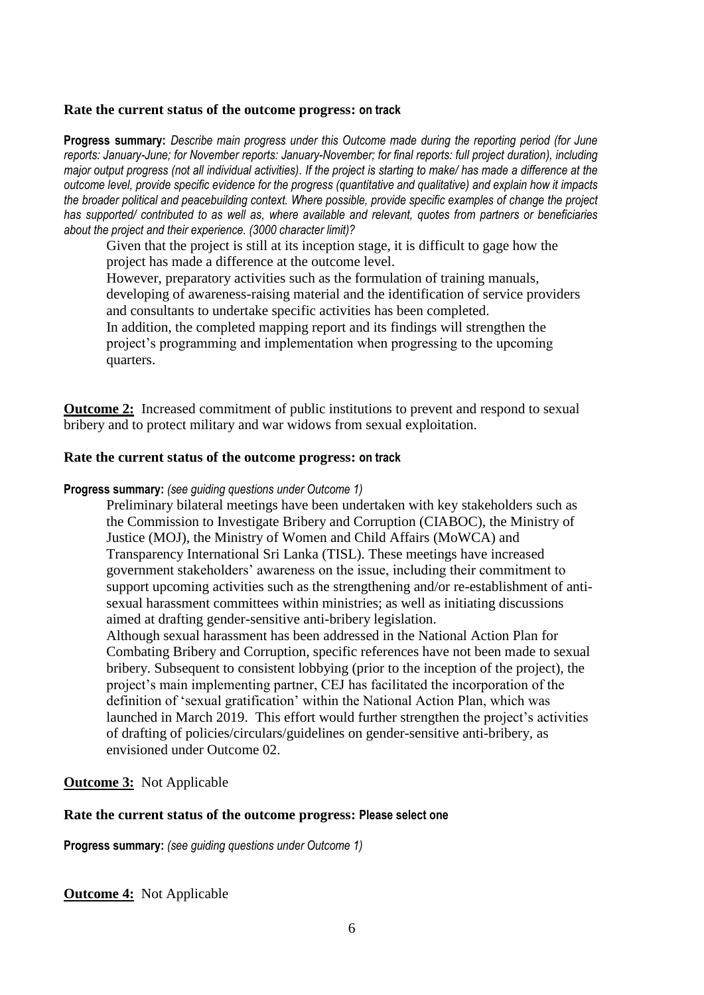### **Rate the current status of the outcome progress: on track**

**Progress summary:** *Describe main progress under this Outcome made during the reporting period (for June reports: January-June; for November reports: January-November; for final reports: full project duration), including major output progress (not all individual activities). If the project is starting to make/ has made a difference at the outcome level, provide specific evidence for the progress (quantitative and qualitative) and explain how it impacts the broader political and peacebuilding context. Where possible, provide specific examples of change the project has supported/ contributed to as well as, where available and relevant, quotes from partners or beneficiaries about the project and their experience. (3000 character limit)?* 

Given that the project is still at its inception stage, it is difficult to gage how the project has made a difference at the outcome level.

However, preparatory activities such as the formulation of training manuals,

developing of awareness-raising material and the identification of service providers and consultants to undertake specific activities has been completed.

In addition, the completed mapping report and its findings will strengthen the project's programming and implementation when progressing to the upcoming quarters.

**Outcome 2:** Increased commitment of public institutions to prevent and respond to sexual bribery and to protect military and war widows from sexual exploitation.

## **Rate the current status of the outcome progress: on track**

## **Progress summary:** *(see guiding questions under Outcome 1)*

Preliminary bilateral meetings have been undertaken with key stakeholders such as the Commission to Investigate Bribery and Corruption (CIABOC), the Ministry of Justice (MOJ), the Ministry of Women and Child Affairs (MoWCA) and Transparency International Sri Lanka (TISL). These meetings have increased government stakeholders' awareness on the issue, including their commitment to support upcoming activities such as the strengthening and/or re-establishment of antisexual harassment committees within ministries; as well as initiating discussions aimed at drafting gender-sensitive anti-bribery legislation.

Although sexual harassment has been addressed in the National Action Plan for Combating Bribery and Corruption, specific references have not been made to sexual bribery. Subsequent to consistent lobbying (prior to the inception of the project), the project's main implementing partner, CEJ has facilitated the incorporation of the definition of 'sexual gratification' within the National Action Plan, which was launched in March 2019. This effort would further strengthen the project's activities of drafting of policies/circulars/guidelines on gender-sensitive anti-bribery, as envisioned under Outcome 02.

## **Outcome 3:** Not Applicable

### **Rate the current status of the outcome progress: Please select one**

**Progress summary:** *(see guiding questions under Outcome 1)* 

**Outcome 4:** Not Applicable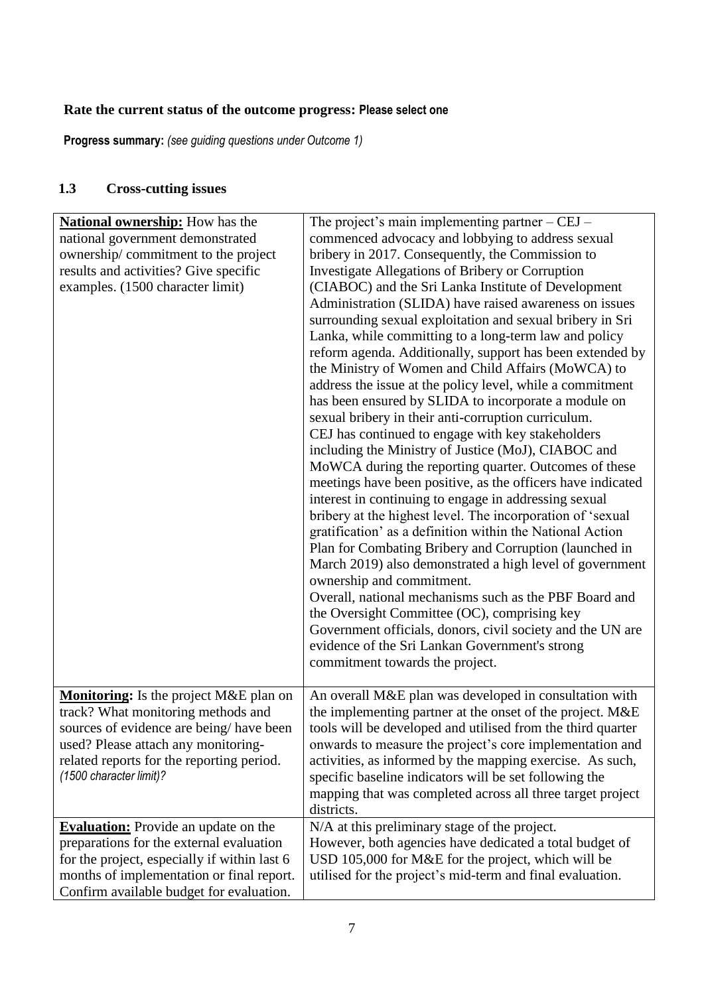# **Rate the current status of the outcome progress: Please select one**

**Progress summary:** *(see guiding questions under Outcome 1)* 

# **1.3 Cross-cutting issues**

| <b>National ownership:</b> How has the       | The project's main implementing partner $-CEJ -$            |
|----------------------------------------------|-------------------------------------------------------------|
| national government demonstrated             | commenced advocacy and lobbying to address sexual           |
| ownership/commitment to the project          | bribery in 2017. Consequently, the Commission to            |
| results and activities? Give specific        | Investigate Allegations of Bribery or Corruption            |
| examples. (1500 character limit)             | (CIABOC) and the Sri Lanka Institute of Development         |
|                                              | Administration (SLIDA) have raised awareness on issues      |
|                                              | surrounding sexual exploitation and sexual bribery in Sri   |
|                                              | Lanka, while committing to a long-term law and policy       |
|                                              | reform agenda. Additionally, support has been extended by   |
|                                              | the Ministry of Women and Child Affairs (MoWCA) to          |
|                                              | address the issue at the policy level, while a commitment   |
|                                              |                                                             |
|                                              | has been ensured by SLIDA to incorporate a module on        |
|                                              | sexual bribery in their anti-corruption curriculum.         |
|                                              | CEJ has continued to engage with key stakeholders           |
|                                              | including the Ministry of Justice (MoJ), CIABOC and         |
|                                              | MoWCA during the reporting quarter. Outcomes of these       |
|                                              | meetings have been positive, as the officers have indicated |
|                                              | interest in continuing to engage in addressing sexual       |
|                                              | bribery at the highest level. The incorporation of 'sexual  |
|                                              | gratification' as a definition within the National Action   |
|                                              | Plan for Combating Bribery and Corruption (launched in      |
|                                              | March 2019) also demonstrated a high level of government    |
|                                              | ownership and commitment.                                   |
|                                              | Overall, national mechanisms such as the PBF Board and      |
|                                              | the Oversight Committee (OC), comprising key                |
|                                              | Government officials, donors, civil society and the UN are  |
|                                              | evidence of the Sri Lankan Government's strong              |
|                                              | commitment towards the project.                             |
|                                              |                                                             |
| Monitoring: Is the project M&E plan on       | An overall M&E plan was developed in consultation with      |
| track? What monitoring methods and           | the implementing partner at the onset of the project. M&E   |
| sources of evidence are being/have been      | tools will be developed and utilised from the third quarter |
| used? Please attach any monitoring-          | onwards to measure the project's core implementation and    |
| related reports for the reporting period.    | activities, as informed by the mapping exercise. As such,   |
| (1500 character limit)?                      | specific baseline indicators will be set following the      |
|                                              | mapping that was completed across all three target project  |
|                                              | districts.                                                  |
| <b>Evaluation:</b> Provide an update on the  | N/A at this preliminary stage of the project.               |
| preparations for the external evaluation     | However, both agencies have dedicated a total budget of     |
| for the project, especially if within last 6 | USD 105,000 for M&E for the project, which will be          |
| months of implementation or final report.    | utilised for the project's mid-term and final evaluation.   |
| Confirm available budget for evaluation.     |                                                             |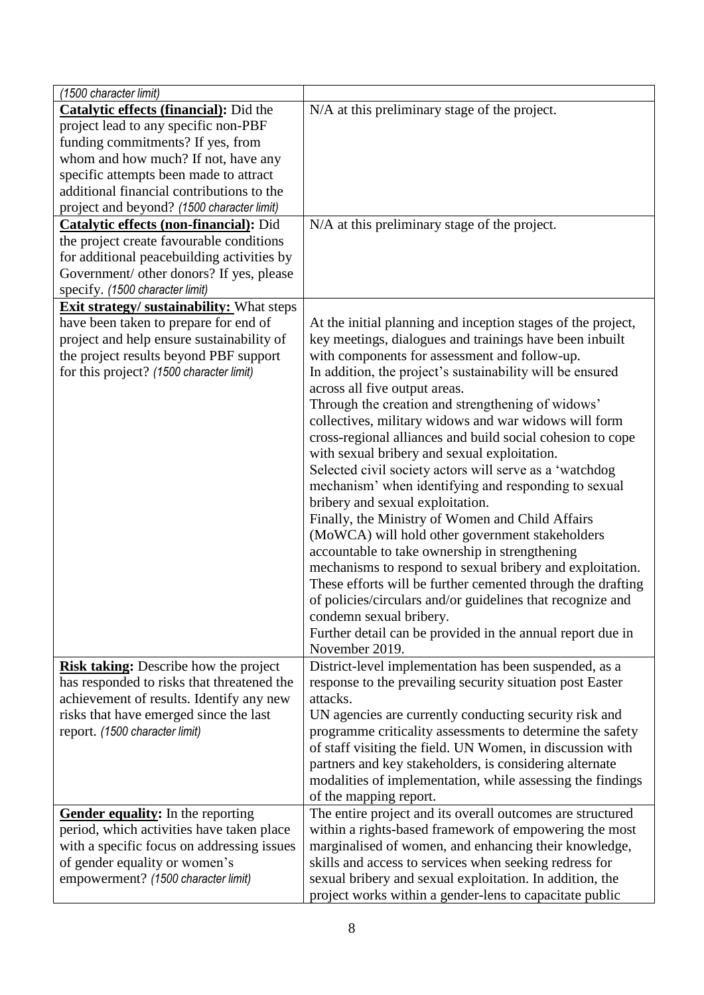| (1500 character limit)                           |                                                              |
|--------------------------------------------------|--------------------------------------------------------------|
| <b>Catalytic effects (financial):</b> Did the    | N/A at this preliminary stage of the project.                |
| project lead to any specific non-PBF             |                                                              |
| funding commitments? If yes, from                |                                                              |
| whom and how much? If not, have any              |                                                              |
| specific attempts been made to attract           |                                                              |
| additional financial contributions to the        |                                                              |
| project and beyond? (1500 character limit)       |                                                              |
| <b>Catalytic effects (non-financial):</b> Did    | N/A at this preliminary stage of the project.                |
| the project create favourable conditions         |                                                              |
| for additional peacebuilding activities by       |                                                              |
| Government/ other donors? If yes, please         |                                                              |
| specify. (1500 character limit)                  |                                                              |
| <b>Exit strategy/ sustainability:</b> What steps |                                                              |
| have been taken to prepare for end of            | At the initial planning and inception stages of the project, |
| project and help ensure sustainability of        | key meetings, dialogues and trainings have been inbuilt      |
| the project results beyond PBF support           | with components for assessment and follow-up.                |
| for this project? (1500 character limit)         | In addition, the project's sustainability will be ensured    |
|                                                  | across all five output areas.                                |
|                                                  | Through the creation and strengthening of widows'            |
|                                                  | collectives, military widows and war widows will form        |
|                                                  | cross-regional alliances and build social cohesion to cope   |
|                                                  | with sexual bribery and sexual exploitation.                 |
|                                                  | Selected civil society actors will serve as a 'watchdog      |
|                                                  | mechanism' when identifying and responding to sexual         |
|                                                  | bribery and sexual exploitation.                             |
|                                                  | Finally, the Ministry of Women and Child Affairs             |
|                                                  | (MoWCA) will hold other government stakeholders              |
|                                                  | accountable to take ownership in strengthening               |
|                                                  | mechanisms to respond to sexual bribery and exploitation.    |
|                                                  | These efforts will be further cemented through the drafting  |
|                                                  | of policies/circulars and/or guidelines that recognize and   |
|                                                  | condemn sexual bribery.                                      |
|                                                  | Further detail can be provided in the annual report due in   |
|                                                  | November 2019.                                               |
| <b>Risk taking:</b> Describe how the project     | District-level implementation has been suspended, as a       |
| has responded to risks that threatened the       | response to the prevailing security situation post Easter    |
| achievement of results. Identify any new         | attacks.                                                     |
| risks that have emerged since the last           | UN agencies are currently conducting security risk and       |
| report. (1500 character limit)                   | programme criticality assessments to determine the safety    |
|                                                  | of staff visiting the field. UN Women, in discussion with    |
|                                                  | partners and key stakeholders, is considering alternate      |
|                                                  | modalities of implementation, while assessing the findings   |
|                                                  | of the mapping report.                                       |
| Gender equality: In the reporting                | The entire project and its overall outcomes are structured   |
| period, which activities have taken place        | within a rights-based framework of empowering the most       |
| with a specific focus on addressing issues       | marginalised of women, and enhancing their knowledge,        |
| of gender equality or women's                    | skills and access to services when seeking redress for       |
| empowerment? (1500 character limit)              | sexual bribery and sexual exploitation. In addition, the     |
|                                                  | project works within a gender-lens to capacitate public      |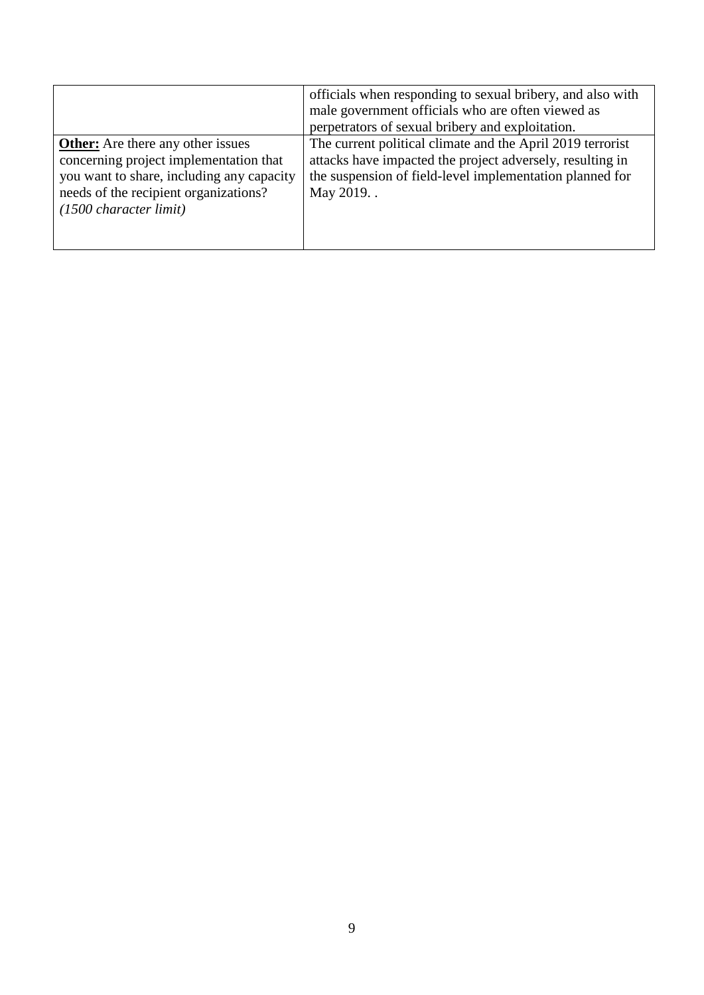|                                                                                                                                                                                                              | officials when responding to sexual bribery, and also with<br>male government officials who are often viewed as<br>perpetrators of sexual bribery and exploitation.                                |
|--------------------------------------------------------------------------------------------------------------------------------------------------------------------------------------------------------------|----------------------------------------------------------------------------------------------------------------------------------------------------------------------------------------------------|
| <b>Other:</b> Are there any other issues<br>concerning project implementation that<br>you want to share, including any capacity<br>needs of the recipient organizations?<br>$(1500 \text{ character limit})$ | The current political climate and the April 2019 terrorist<br>attacks have impacted the project adversely, resulting in<br>the suspension of field-level implementation planned for<br>May 2019. . |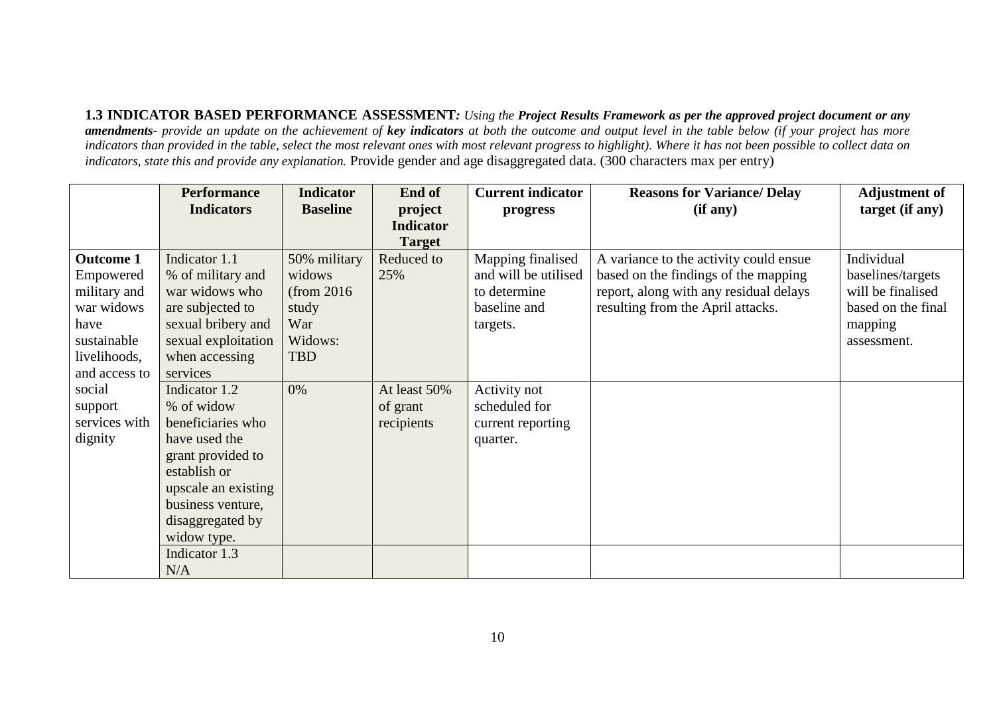**1.3 INDICATOR BASED PERFORMANCE ASSESSMENT***: Using the Project Results Framework as per the approved project document or any amendments- provide an update on the achievement of key indicators at both the outcome and output level in the table below (if your project has more indicators than provided in the table, select the most relevant ones with most relevant progress to highlight). Where it has not been possible to collect data on indicators, state this and provide any explanation.* Provide gender and age disaggregated data. (300 characters max per entry)

|                  | <b>Performance</b>  | <b>Indicator</b> | End of           | <b>Current indicator</b> | <b>Reasons for Variance/Delay</b>      | <b>Adjustment of</b> |
|------------------|---------------------|------------------|------------------|--------------------------|----------------------------------------|----------------------|
|                  | <b>Indicators</b>   | <b>Baseline</b>  | project          | progress                 | (if any)                               | target (if any)      |
|                  |                     |                  | <b>Indicator</b> |                          |                                        |                      |
|                  |                     |                  | <b>Target</b>    |                          |                                        |                      |
| <b>Outcome 1</b> | Indicator 1.1       | 50% military     | Reduced to       | Mapping finalised        | A variance to the activity could ensue | Individual           |
| Empowered        | % of military and   | widows           | 25%              | and will be utilised     | based on the findings of the mapping   | baselines/targets    |
| military and     | war widows who      | (from 2016)      |                  | to determine             | report, along with any residual delays | will be finalised    |
| war widows       | are subjected to    | study            |                  | baseline and             | resulting from the April attacks.      | based on the final   |
| have             | sexual bribery and  | War              |                  | targets.                 |                                        | mapping              |
| sustainable      | sexual exploitation | Widows:          |                  |                          |                                        | assessment.          |
| livelihoods,     | when accessing      | <b>TBD</b>       |                  |                          |                                        |                      |
| and access to    | services            |                  |                  |                          |                                        |                      |
| social           | Indicator 1.2       | 0%               | At least 50%     | Activity not             |                                        |                      |
| support          | % of widow          |                  | of grant         | scheduled for            |                                        |                      |
| services with    | beneficiaries who   |                  | recipients       | current reporting        |                                        |                      |
| dignity          | have used the       |                  |                  | quarter.                 |                                        |                      |
|                  | grant provided to   |                  |                  |                          |                                        |                      |
|                  | establish or        |                  |                  |                          |                                        |                      |
|                  | upscale an existing |                  |                  |                          |                                        |                      |
|                  | business venture,   |                  |                  |                          |                                        |                      |
|                  | disaggregated by    |                  |                  |                          |                                        |                      |
|                  | widow type.         |                  |                  |                          |                                        |                      |
|                  | Indicator 1.3       |                  |                  |                          |                                        |                      |
|                  | N/A                 |                  |                  |                          |                                        |                      |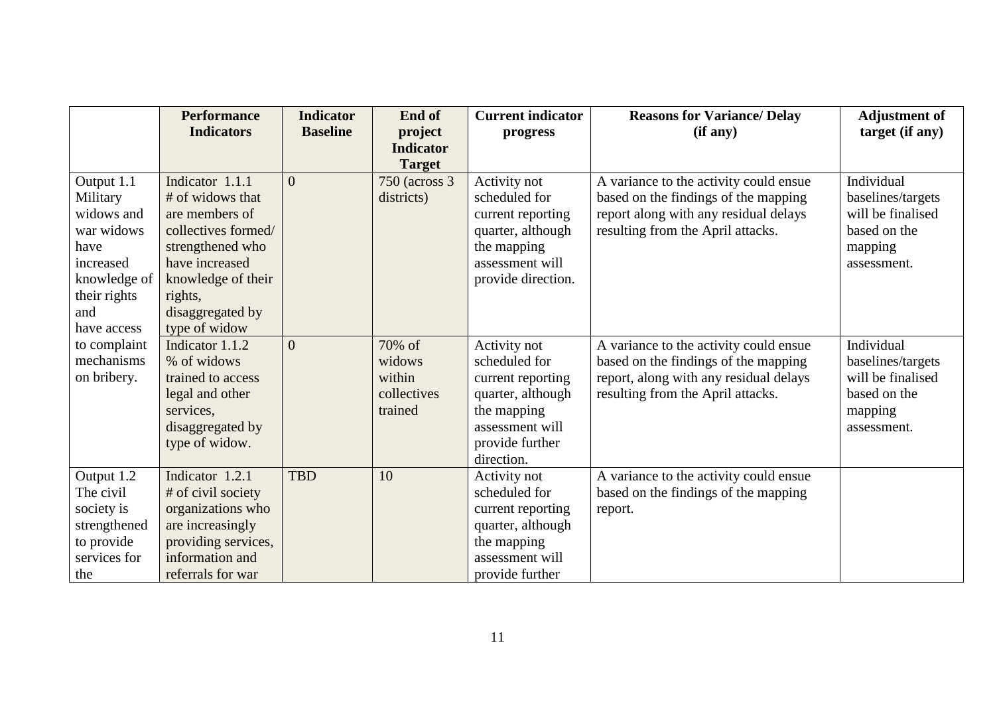|                                                                                                                | <b>Performance</b><br><b>Indicators</b>                                                                                                                                 | <b>Indicator</b><br><b>Baseline</b> | End of<br>project                                    | <b>Current indicator</b><br>progress                                                                                                       | <b>Reasons for Variance/ Delay</b><br>(if any)                                                                                                                | <b>Adjustment of</b><br>target (if any)                                                        |
|----------------------------------------------------------------------------------------------------------------|-------------------------------------------------------------------------------------------------------------------------------------------------------------------------|-------------------------------------|------------------------------------------------------|--------------------------------------------------------------------------------------------------------------------------------------------|---------------------------------------------------------------------------------------------------------------------------------------------------------------|------------------------------------------------------------------------------------------------|
|                                                                                                                |                                                                                                                                                                         |                                     | <b>Indicator</b>                                     |                                                                                                                                            |                                                                                                                                                               |                                                                                                |
|                                                                                                                |                                                                                                                                                                         |                                     | <b>Target</b>                                        |                                                                                                                                            |                                                                                                                                                               |                                                                                                |
| Output 1.1<br>Military<br>widows and<br>war widows<br>have<br>increased<br>knowledge of<br>their rights<br>and | Indicator 1.1.1<br># of widows that<br>are members of<br>collectives formed/<br>strengthened who<br>have increased<br>knowledge of their<br>rights,<br>disaggregated by | $\Omega$                            | 750 (across 3)<br>districts)                         | Activity not<br>scheduled for<br>current reporting<br>quarter, although<br>the mapping<br>assessment will<br>provide direction.            | A variance to the activity could ensue<br>based on the findings of the mapping<br>report along with any residual delays<br>resulting from the April attacks.  | Individual<br>baselines/targets<br>will be finalised<br>based on the<br>mapping<br>assessment. |
| have access<br>to complaint<br>mechanisms<br>on bribery.                                                       | type of widow<br>Indicator 1.1.2<br>% of widows<br>trained to access<br>legal and other<br>services,<br>disaggregated by<br>type of widow.                              | $\Omega$                            | 70% of<br>widows<br>within<br>collectives<br>trained | Activity not<br>scheduled for<br>current reporting<br>quarter, although<br>the mapping<br>assessment will<br>provide further<br>direction. | A variance to the activity could ensue<br>based on the findings of the mapping<br>report, along with any residual delays<br>resulting from the April attacks. | Individual<br>baselines/targets<br>will be finalised<br>based on the<br>mapping<br>assessment. |
| Output 1.2<br>The civil<br>society is<br>strengthened<br>to provide<br>services for<br>the                     | Indicator 1.2.1<br># of civil society<br>organizations who<br>are increasingly<br>providing services,<br>information and<br>referrals for war                           | <b>TBD</b>                          | 10                                                   | Activity not<br>scheduled for<br>current reporting<br>quarter, although<br>the mapping<br>assessment will<br>provide further               | A variance to the activity could ensue<br>based on the findings of the mapping<br>report.                                                                     |                                                                                                |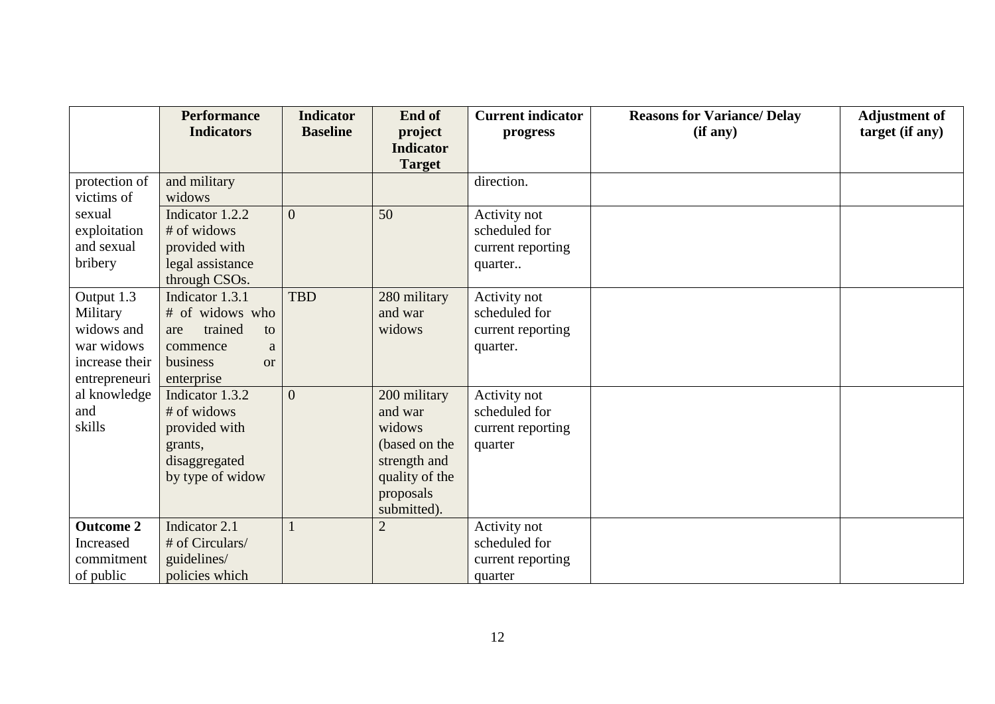|                  | <b>Performance</b>    | <b>Indicator</b> | End of           | <b>Current indicator</b> | <b>Reasons for Variance/Delay</b> | <b>Adjustment of</b> |
|------------------|-----------------------|------------------|------------------|--------------------------|-----------------------------------|----------------------|
|                  | <b>Indicators</b>     | <b>Baseline</b>  | project          | progress                 | (if any)                          | target (if any)      |
|                  |                       |                  | <b>Indicator</b> |                          |                                   |                      |
|                  |                       |                  | <b>Target</b>    |                          |                                   |                      |
| protection of    | and military          |                  |                  | direction.               |                                   |                      |
| victims of       | widows                |                  |                  |                          |                                   |                      |
| sexual           | Indicator 1.2.2       | $\overline{0}$   | 50               | Activity not             |                                   |                      |
| exploitation     | # of widows           |                  |                  | scheduled for            |                                   |                      |
| and sexual       | provided with         |                  |                  | current reporting        |                                   |                      |
| bribery          | legal assistance      |                  |                  | quarter                  |                                   |                      |
|                  | through CSOs.         |                  |                  |                          |                                   |                      |
| Output 1.3       | Indicator 1.3.1       | <b>TBD</b>       | 280 military     | Activity not             |                                   |                      |
| Military         | # of widows who       |                  | and war          | scheduled for            |                                   |                      |
| widows and       | trained<br>to<br>are  |                  | widows           | current reporting        |                                   |                      |
| war widows       | commence<br>a         |                  |                  | quarter.                 |                                   |                      |
| increase their   | business<br><b>or</b> |                  |                  |                          |                                   |                      |
| entrepreneuri    | enterprise            |                  |                  |                          |                                   |                      |
| al knowledge     | Indicator 1.3.2       | $\theta$         | 200 military     | Activity not             |                                   |                      |
| and              | # of widows           |                  | and war          | scheduled for            |                                   |                      |
| skills           | provided with         |                  | widows           | current reporting        |                                   |                      |
|                  | grants,               |                  | (based on the    | quarter                  |                                   |                      |
|                  | disaggregated         |                  | strength and     |                          |                                   |                      |
|                  | by type of widow      |                  | quality of the   |                          |                                   |                      |
|                  |                       |                  | proposals        |                          |                                   |                      |
|                  |                       |                  | submitted).      |                          |                                   |                      |
| <b>Outcome 2</b> | Indicator 2.1         |                  | $\overline{2}$   | Activity not             |                                   |                      |
| <b>Increased</b> | # of Circulars/       |                  |                  | scheduled for            |                                   |                      |
| commitment       | guidelines/           |                  |                  | current reporting        |                                   |                      |
| of public        | policies which        |                  |                  | quarter                  |                                   |                      |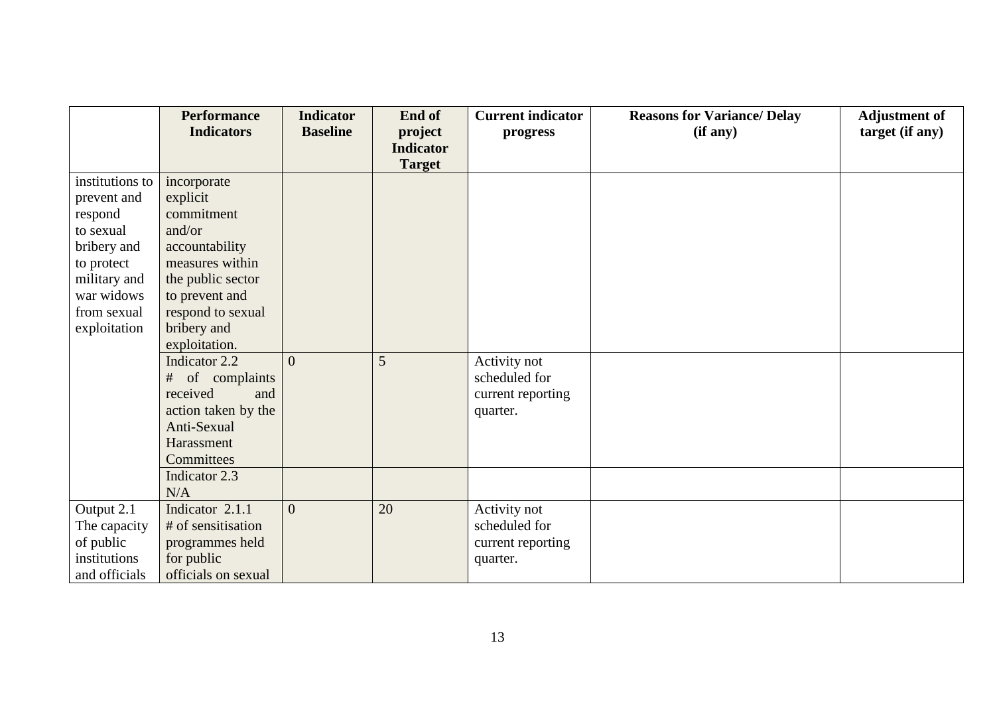|                                                                                                                   | <b>Performance</b>                                                                                                          | <b>Indicator</b> | End of                      | <b>Current indicator</b>                                       | <b>Reasons for Variance/ Delay</b> | <b>Adjustment of</b> |
|-------------------------------------------------------------------------------------------------------------------|-----------------------------------------------------------------------------------------------------------------------------|------------------|-----------------------------|----------------------------------------------------------------|------------------------------------|----------------------|
|                                                                                                                   | <b>Indicators</b>                                                                                                           | <b>Baseline</b>  | project<br><b>Indicator</b> | progress                                                       | (if any)                           | target (if any)      |
|                                                                                                                   |                                                                                                                             |                  | <b>Target</b>               |                                                                |                                    |                      |
| institutions to<br>prevent and<br>respond<br>to sexual<br>bribery and<br>to protect<br>military and<br>war widows | incorporate<br>explicit<br>commitment<br>and/or<br>accountability<br>measures within<br>the public sector<br>to prevent and |                  |                             |                                                                |                                    |                      |
| from sexual<br>exploitation                                                                                       | respond to sexual<br>bribery and<br>exploitation.                                                                           |                  |                             |                                                                |                                    |                      |
|                                                                                                                   | Indicator 2.2<br>of complaints<br>#<br>received<br>and<br>action taken by the<br>Anti-Sexual<br>Harassment<br>Committees    | $\Omega$         | 5                           | Activity not<br>scheduled for<br>current reporting<br>quarter. |                                    |                      |
|                                                                                                                   | Indicator 2.3<br>N/A                                                                                                        |                  |                             |                                                                |                                    |                      |
| Output 2.1<br>The capacity<br>of public<br>institutions<br>and officials                                          | Indicator 2.1.1<br># of sensitisation<br>programmes held<br>for public<br>officials on sexual                               | $\mathbf{0}$     | 20                          | Activity not<br>scheduled for<br>current reporting<br>quarter. |                                    |                      |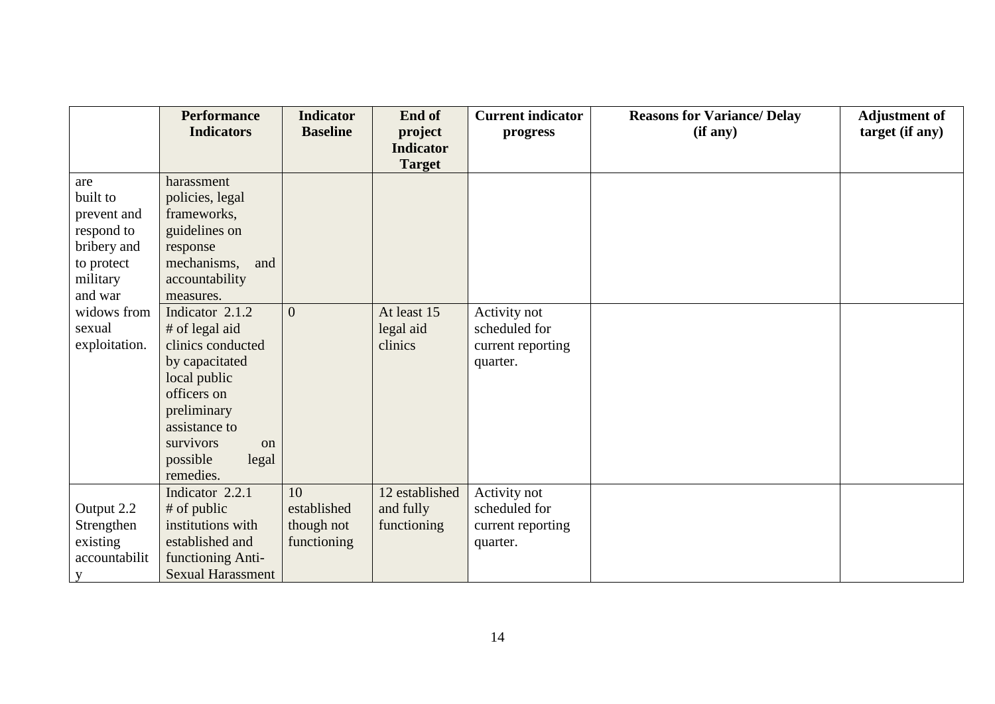|               | <b>Performance</b>       | <b>Indicator</b> | End of           | <b>Current indicator</b> | <b>Reasons for Variance/ Delay</b> | <b>Adjustment of</b> |
|---------------|--------------------------|------------------|------------------|--------------------------|------------------------------------|----------------------|
|               | <b>Indicators</b>        | <b>Baseline</b>  | project          | progress                 | (if any)                           | target (if any)      |
|               |                          |                  | <b>Indicator</b> |                          |                                    |                      |
|               |                          |                  | <b>Target</b>    |                          |                                    |                      |
| are           | harassment               |                  |                  |                          |                                    |                      |
| built to      | policies, legal          |                  |                  |                          |                                    |                      |
| prevent and   | frameworks,              |                  |                  |                          |                                    |                      |
| respond to    | guidelines on            |                  |                  |                          |                                    |                      |
| bribery and   | response                 |                  |                  |                          |                                    |                      |
| to protect    | mechanisms,<br>and       |                  |                  |                          |                                    |                      |
| military      | accountability           |                  |                  |                          |                                    |                      |
| and war       | measures.                |                  |                  |                          |                                    |                      |
| widows from   | Indicator 2.1.2          | $\overline{0}$   | At least 15      | Activity not             |                                    |                      |
| sexual        | # of legal aid           |                  | legal aid        | scheduled for            |                                    |                      |
| exploitation. | clinics conducted        |                  | clinics          | current reporting        |                                    |                      |
|               | by capacitated           |                  |                  | quarter.                 |                                    |                      |
|               | local public             |                  |                  |                          |                                    |                      |
|               | officers on              |                  |                  |                          |                                    |                      |
|               | preliminary              |                  |                  |                          |                                    |                      |
|               | assistance to            |                  |                  |                          |                                    |                      |
|               | survivors<br>on          |                  |                  |                          |                                    |                      |
|               | possible<br>legal        |                  |                  |                          |                                    |                      |
|               | remedies.                |                  |                  |                          |                                    |                      |
|               | Indicator 2.2.1          | 10               | 12 established   | Activity not             |                                    |                      |
| Output 2.2    | # of public              | established      | and fully        | scheduled for            |                                    |                      |
| Strengthen    | institutions with        | though not       | functioning      | current reporting        |                                    |                      |
| existing      | established and          | functioning      |                  | quarter.                 |                                    |                      |
| accountabilit | functioning Anti-        |                  |                  |                          |                                    |                      |
| $\mathbf{V}$  | <b>Sexual Harassment</b> |                  |                  |                          |                                    |                      |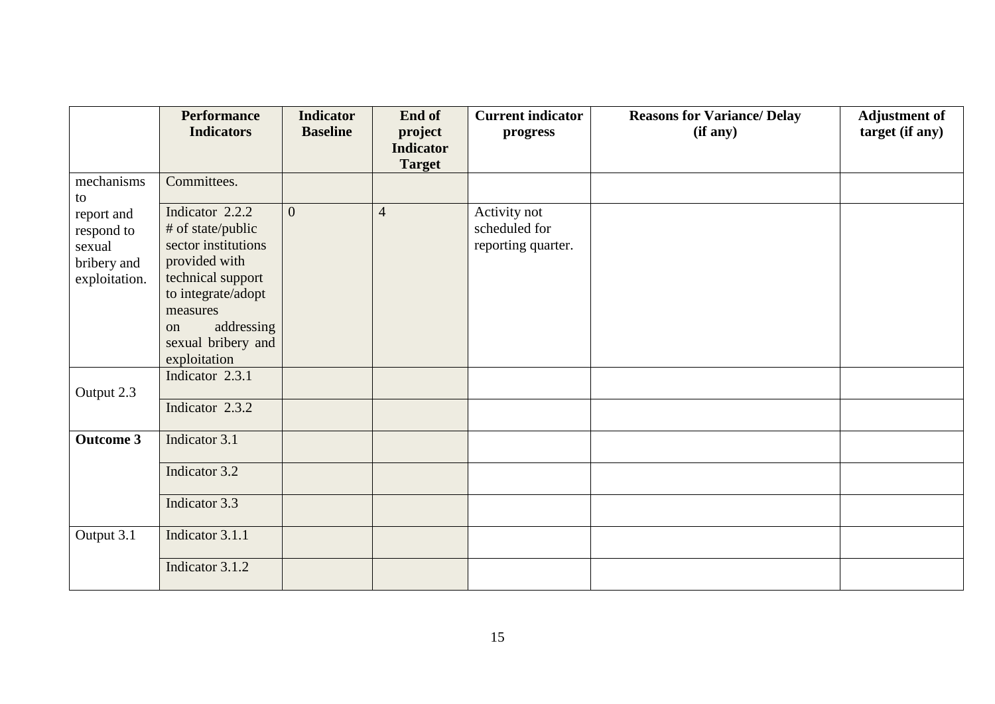|                                                                    | <b>Performance</b>                                                                                                                                                            | <b>Indicator</b> | End of                            | <b>Current indicator</b>                            | <b>Reasons for Variance/ Delay</b> | <b>Adjustment of</b> |
|--------------------------------------------------------------------|-------------------------------------------------------------------------------------------------------------------------------------------------------------------------------|------------------|-----------------------------------|-----------------------------------------------------|------------------------------------|----------------------|
|                                                                    | <b>Indicators</b>                                                                                                                                                             | <b>Baseline</b>  | project                           | progress                                            | (if any)                           | target (if any)      |
|                                                                    |                                                                                                                                                                               |                  | <b>Indicator</b><br><b>Target</b> |                                                     |                                    |                      |
| mechanisms<br>to                                                   | Committees.                                                                                                                                                                   |                  |                                   |                                                     |                                    |                      |
| report and<br>respond to<br>sexual<br>bribery and<br>exploitation. | Indicator 2.2.2<br># of state/public<br>sector institutions<br>provided with<br>technical support<br>to integrate/adopt<br>measures<br>addressing<br>on<br>sexual bribery and | $\Omega$         | $\overline{4}$                    | Activity not<br>scheduled for<br>reporting quarter. |                                    |                      |
|                                                                    | exploitation                                                                                                                                                                  |                  |                                   |                                                     |                                    |                      |
| Output 2.3                                                         | Indicator 2.3.1                                                                                                                                                               |                  |                                   |                                                     |                                    |                      |
|                                                                    | Indicator 2.3.2                                                                                                                                                               |                  |                                   |                                                     |                                    |                      |
| <b>Outcome 3</b>                                                   | Indicator 3.1                                                                                                                                                                 |                  |                                   |                                                     |                                    |                      |
|                                                                    | Indicator 3.2                                                                                                                                                                 |                  |                                   |                                                     |                                    |                      |
|                                                                    | Indicator 3.3                                                                                                                                                                 |                  |                                   |                                                     |                                    |                      |
| Output 3.1                                                         | Indicator 3.1.1                                                                                                                                                               |                  |                                   |                                                     |                                    |                      |
|                                                                    | Indicator 3.1.2                                                                                                                                                               |                  |                                   |                                                     |                                    |                      |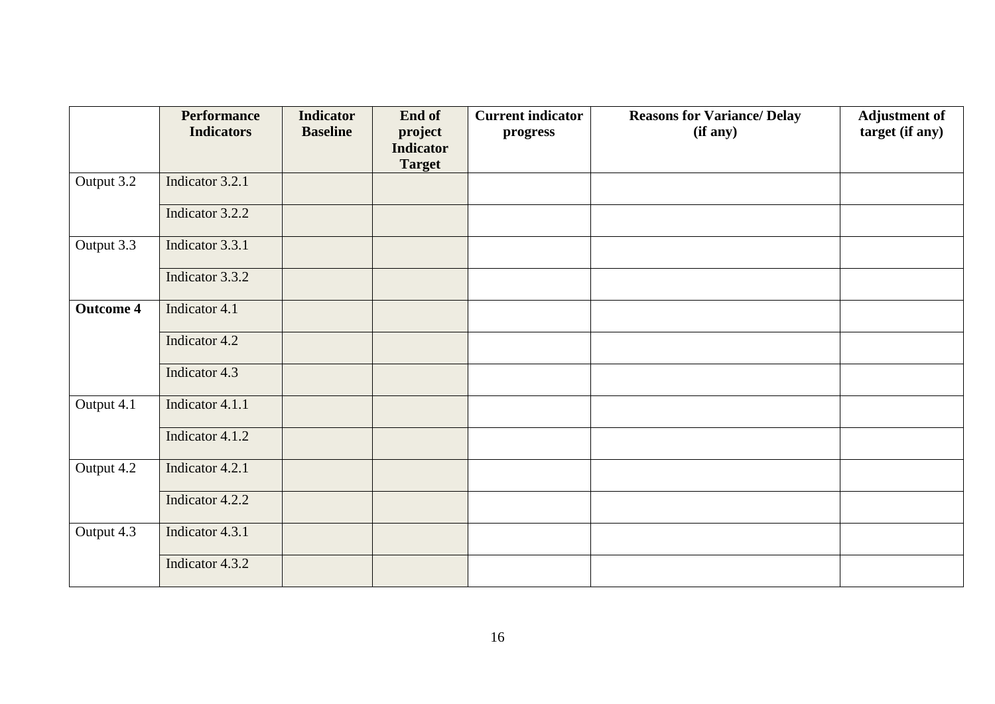|                  | <b>Performance</b><br><b>Indicators</b> | <b>Indicator</b><br><b>Baseline</b> | End of<br>project                 | <b>Current indicator</b><br>progress | <b>Reasons for Variance/ Delay</b><br>(if any) | <b>Adjustment of</b><br>target (if any) |
|------------------|-----------------------------------------|-------------------------------------|-----------------------------------|--------------------------------------|------------------------------------------------|-----------------------------------------|
|                  |                                         |                                     | <b>Indicator</b><br><b>Target</b> |                                      |                                                |                                         |
| Output 3.2       | Indicator 3.2.1                         |                                     |                                   |                                      |                                                |                                         |
|                  | Indicator 3.2.2                         |                                     |                                   |                                      |                                                |                                         |
| Output 3.3       | Indicator 3.3.1                         |                                     |                                   |                                      |                                                |                                         |
|                  | Indicator 3.3.2                         |                                     |                                   |                                      |                                                |                                         |
| <b>Outcome 4</b> | Indicator 4.1                           |                                     |                                   |                                      |                                                |                                         |
|                  | Indicator 4.2                           |                                     |                                   |                                      |                                                |                                         |
|                  | Indicator 4.3                           |                                     |                                   |                                      |                                                |                                         |
| Output 4.1       | Indicator 4.1.1                         |                                     |                                   |                                      |                                                |                                         |
|                  | Indicator 4.1.2                         |                                     |                                   |                                      |                                                |                                         |
| Output 4.2       | Indicator 4.2.1                         |                                     |                                   |                                      |                                                |                                         |
|                  | Indicator 4.2.2                         |                                     |                                   |                                      |                                                |                                         |
| Output 4.3       | Indicator 4.3.1                         |                                     |                                   |                                      |                                                |                                         |
|                  | Indicator 4.3.2                         |                                     |                                   |                                      |                                                |                                         |